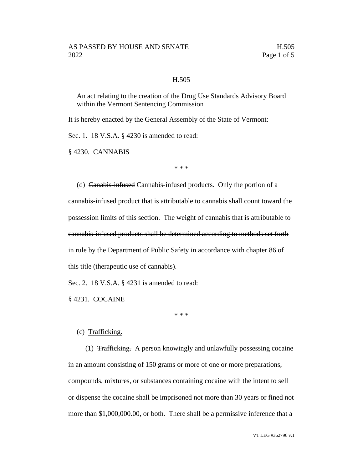## H.505

An act relating to the creation of the Drug Use Standards Advisory Board within the Vermont Sentencing Commission

It is hereby enacted by the General Assembly of the State of Vermont:

Sec. 1. 18 V.S.A. § 4230 is amended to read:

§ 4230. CANNABIS

\* \* \*

(d) Canabis-infused Cannabis-infused products. Only the portion of a cannabis-infused product that is attributable to cannabis shall count toward the possession limits of this section. The weight of cannabis that is attributable to cannabis-infused products shall be determined according to methods set forth in rule by the Department of Public Safety in accordance with chapter 86 of this title (therapeutic use of cannabis).

Sec. 2. 18 V.S.A. § 4231 is amended to read:

§ 4231. COCAINE

\* \* \*

## (c) Trafficking.

(1) Trafficking. A person knowingly and unlawfully possessing cocaine in an amount consisting of 150 grams or more of one or more preparations, compounds, mixtures, or substances containing cocaine with the intent to sell or dispense the cocaine shall be imprisoned not more than 30 years or fined not more than \$1,000,000.00, or both. There shall be a permissive inference that a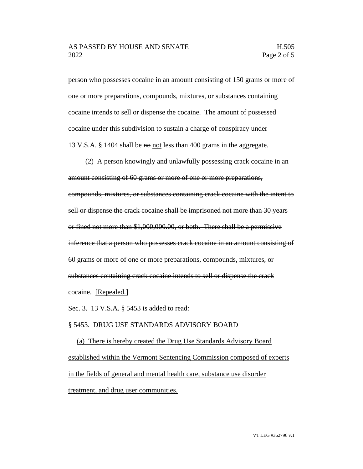person who possesses cocaine in an amount consisting of 150 grams or more of one or more preparations, compounds, mixtures, or substances containing cocaine intends to sell or dispense the cocaine. The amount of possessed cocaine under this subdivision to sustain a charge of conspiracy under 13 V.S.A. § 1404 shall be no not less than 400 grams in the aggregate.

(2) A person knowingly and unlawfully possessing crack cocaine in an amount consisting of 60 grams or more of one or more preparations, compounds, mixtures, or substances containing crack cocaine with the intent to sell or dispense the crack cocaine shall be imprisoned not more than 30 years or fined not more than \$1,000,000.00, or both. There shall be a permissive inference that a person who possesses crack cocaine in an amount consisting of 60 grams or more of one or more preparations, compounds, mixtures, or substances containing crack cocaine intends to sell or dispense the crack cocaine. [Repealed.]

Sec. 3. 13 V.S.A. § 5453 is added to read:

## § 5453. DRUG USE STANDARDS ADVISORY BOARD

(a) There is hereby created the Drug Use Standards Advisory Board established within the Vermont Sentencing Commission composed of experts in the fields of general and mental health care, substance use disorder treatment, and drug user communities.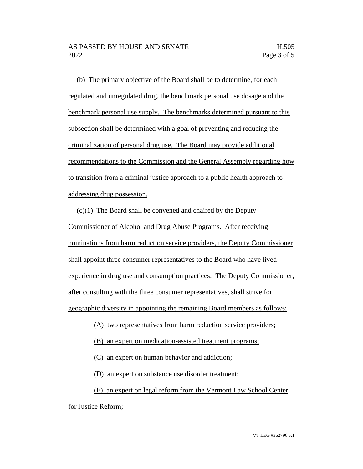(b) The primary objective of the Board shall be to determine, for each regulated and unregulated drug, the benchmark personal use dosage and the benchmark personal use supply. The benchmarks determined pursuant to this subsection shall be determined with a goal of preventing and reducing the criminalization of personal drug use. The Board may provide additional recommendations to the Commission and the General Assembly regarding how to transition from a criminal justice approach to a public health approach to addressing drug possession.

 $(c)(1)$  The Board shall be convened and chaired by the Deputy Commissioner of Alcohol and Drug Abuse Programs. After receiving nominations from harm reduction service providers, the Deputy Commissioner shall appoint three consumer representatives to the Board who have lived experience in drug use and consumption practices. The Deputy Commissioner, after consulting with the three consumer representatives, shall strive for geographic diversity in appointing the remaining Board members as follows:

(A) two representatives from harm reduction service providers;

(B) an expert on medication-assisted treatment programs;

(C) an expert on human behavior and addiction;

(D) an expert on substance use disorder treatment;

(E) an expert on legal reform from the Vermont Law School Center

for Justice Reform;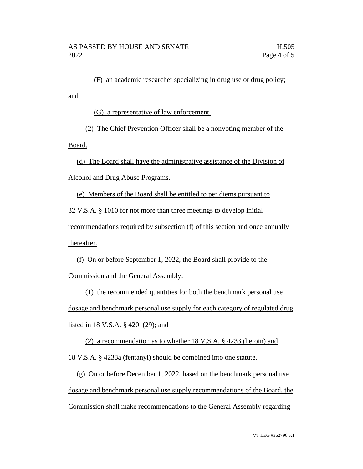(F) an academic researcher specializing in drug use or drug policy;

(G) a representative of law enforcement.

(2) The Chief Prevention Officer shall be a nonvoting member of the

Board.

and

(d) The Board shall have the administrative assistance of the Division of Alcohol and Drug Abuse Programs.

(e) Members of the Board shall be entitled to per diems pursuant to 32 V.S.A. § 1010 for not more than three meetings to develop initial recommendations required by subsection (f) of this section and once annually thereafter.

(f) On or before September 1, 2022, the Board shall provide to the Commission and the General Assembly:

(1) the recommended quantities for both the benchmark personal use dosage and benchmark personal use supply for each category of regulated drug listed in 18 V.S.A. § 4201(29); and

(2) a recommendation as to whether 18 V.S.A. § 4233 (heroin) and 18 V.S.A. § 4233a (fentanyl) should be combined into one statute.

(g) On or before December 1, 2022, based on the benchmark personal use dosage and benchmark personal use supply recommendations of the Board, the Commission shall make recommendations to the General Assembly regarding